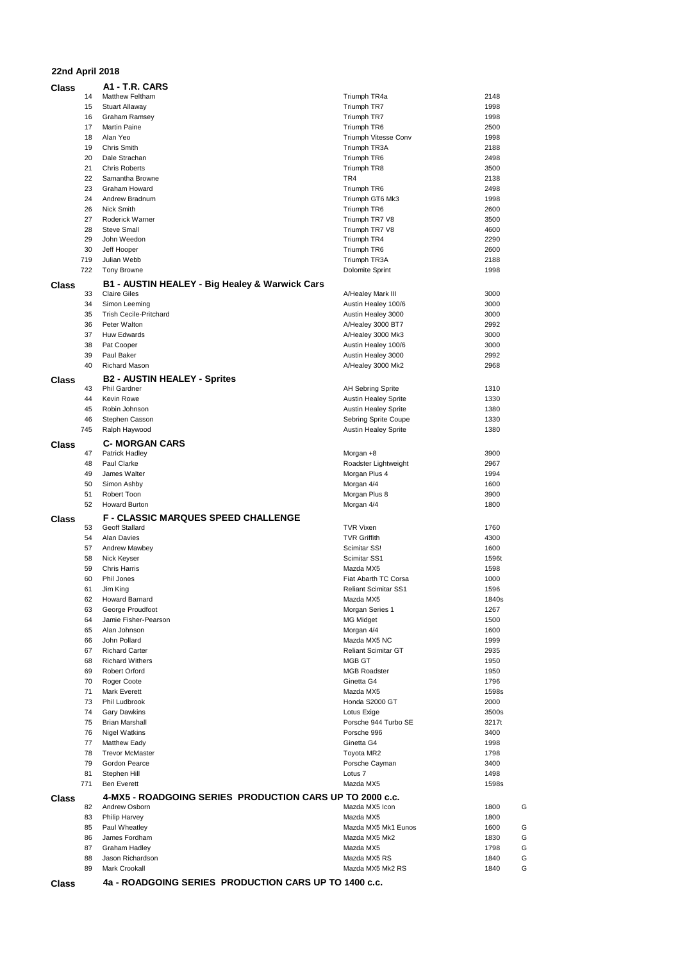## **22nd April 2018**

| Class |          | A1 - T.R. CARS                                           |                                |              |
|-------|----------|----------------------------------------------------------|--------------------------------|--------------|
|       | 14       | <b>Matthew Feltham</b>                                   | Triumph TR4a                   | 2148         |
|       | 15       | <b>Stuart Allaway</b>                                    | Triumph TR7                    | 1998         |
|       | 16       | Graham Ramsey                                            | Triumph TR7                    | 1998         |
|       | 17<br>18 | <b>Martin Paine</b>                                      | Triumph TR6                    | 2500         |
|       | 19       | Alan Yeo<br><b>Chris Smith</b>                           | Triumph Vitesse Conv           | 1998<br>2188 |
|       | 20       | Dale Strachan                                            | Triumph TR3A<br>Triumph TR6    | 2498         |
|       | 21       | <b>Chris Roberts</b>                                     | Triumph TR8                    | 3500         |
|       | 22       | Samantha Browne                                          | TR4                            | 2138         |
|       | 23       | Graham Howard                                            |                                | 2498         |
|       | 24       | Andrew Bradnum                                           | Triumph TR6                    | 1998         |
|       | 26       | <b>Nick Smith</b>                                        | Triumph GT6 Mk3<br>Triumph TR6 | 2600         |
|       | 27       | Roderick Warner                                          | Triumph TR7 V8                 | 3500         |
|       | 28       | <b>Steve Small</b>                                       | Triumph TR7 V8                 | 4600         |
|       | 29       | John Weedon                                              | Triumph TR4                    | 2290         |
|       | 30       | Jeff Hooper                                              | Triumph TR6                    | 2600         |
|       | 719      | Julian Webb                                              | Triumph TR3A                   | 2188         |
|       | 722      | <b>Tony Browne</b>                                       | Dolomite Sprint                | 1998         |
|       |          |                                                          |                                |              |
| Class |          | B1 - AUSTIN HEALEY - Big Healey & Warwick Cars           |                                |              |
|       | 33       | <b>Claire Giles</b>                                      | A/Healey Mark III              | 3000         |
|       | 34       | Simon Leeming<br><b>Trish Cecile-Pritchard</b>           | Austin Healey 100/6            | 3000         |
|       | 35       |                                                          | Austin Healey 3000             | 3000         |
|       | 36       | Peter Walton                                             | A/Healey 3000 BT7              | 2992         |
|       | 37       | Huw Edwards                                              | A/Healey 3000 Mk3              | 3000         |
|       | 38       | Pat Cooper                                               | Austin Healey 100/6            | 3000         |
|       | 39       | Paul Baker                                               | Austin Healey 3000             | 2992         |
|       | 40       | Richard Mason                                            | A/Healey 3000 Mk2              | 2968         |
| Class |          | <b>B2 - AUSTIN HEALEY - Sprites</b>                      |                                |              |
|       | 43       | Phil Gardner                                             | <b>AH Sebring Sprite</b>       | 1310         |
|       | 44       | Kevin Rowe                                               | <b>Austin Healey Sprite</b>    | 1330         |
|       | 45       | Robin Johnson                                            | <b>Austin Healey Sprite</b>    | 1380         |
|       | 46       | Stephen Casson                                           | Sebring Sprite Coupe           | 1330         |
|       | 745      | Ralph Haywood                                            | <b>Austin Healey Sprite</b>    | 1380         |
| Class |          | <b>C- MORGAN CARS</b>                                    |                                |              |
|       | 47       | Patrick Hadley                                           | Morgan +8                      | 3900         |
|       | 48       | Paul Clarke                                              | Roadster Lightweight           | 2967         |
|       | 49       | James Walter                                             | Morgan Plus 4                  | 1994         |
|       | 50       | Simon Ashby                                              | Morgan 4/4                     | 1600         |
|       | 51       | Robert Toon                                              | Morgan Plus 8                  | 3900         |
|       | 52       | <b>Howard Burton</b>                                     | Morgan 4/4                     | 1800         |
| Class |          | F - CLASSIC MARQUES SPEED CHALLENGE                      |                                |              |
|       | 53       | <b>Geoff Stallard</b>                                    | <b>TVR Vixen</b>               | 1760         |
|       | 54       | Alan Davies                                              | <b>TVR Griffith</b>            | 4300         |
|       | 57       | Andrew Mawbey                                            | Scimitar SS!                   | 1600         |
|       | 58       | Nick Keyser                                              | Scimitar SS1                   | 1596t        |
|       | 59       | <b>Chris Harris</b>                                      | Mazda MX5                      | 1598         |
|       | 60       | Phil Jones                                               | Fiat Abarth TC Corsa           | 1000         |
|       | 61       | Jim King                                                 | <b>Reliant Scimitar SS1</b>    | 1596         |
|       | 62       | Howard Barnard                                           | Mazda MX5                      | 1840s        |
|       | 63       | George Proudfoot                                         | Morgan Series 1                | 1267         |
|       | 64       | Jamie Fisher-Pearson                                     | <b>MG Midget</b>               | 1500         |
|       | 65       | Alan Johnson                                             | Morgan 4/4                     | 1600         |
|       | 66       | John Pollard                                             | Mazda MX5 NC                   | 1999         |
|       | 67       | <b>Richard Carter</b>                                    | <b>Reliant Scimitar GT</b>     | 2935         |
|       | 68       | <b>Richard Withers</b>                                   | <b>MGB GT</b>                  | 1950         |
|       | 69       | Robert Orford                                            | <b>MGB Roadster</b>            | 1950         |
|       | 70       | Roger Coote                                              | Ginetta G4                     | 1796         |
|       | 71       | Mark Everett                                             | Mazda MX5                      | 1598s        |
|       | 73       | Phil Ludbrook                                            | Honda S2000 GT                 | 2000         |
|       | 74       | <b>Gary Dawkins</b>                                      | Lotus Exige                    | 3500s        |
|       | 75       | <b>Brian Marshall</b>                                    | Porsche 944 Turbo SE           | 3217t        |
|       | 76       | Nigel Watkins                                            | Porsche 996                    | 3400         |
|       | 77       | Matthew Eady                                             | Ginetta G4                     | 1998         |
|       | 78       | <b>Trevor McMaster</b>                                   | Toyota MR2                     | 1798         |
|       | 79       | Gordon Pearce                                            | Porsche Cayman                 | 3400         |
|       | 81       | Stephen Hill                                             | Lotus <sub>7</sub>             | 1498         |
|       | 771      | <b>Ben Everett</b>                                       | Mazda MX5                      | 1598s        |
| Class |          | 4-MX5 - ROADGOING SERIES PRODUCTION CARS UP TO 2000 c.c. |                                |              |
|       | 82       | Andrew Osborn                                            | Mazda MX5 Icon                 | 1800<br>G    |
|       | 83       | Philip Harvey                                            | Mazda MX5                      | 1800         |
|       | 85       | Paul Wheatley                                            | Mazda MX5 Mk1 Eunos            | G<br>1600    |
|       | 86       | James Fordham                                            | Mazda MX5 Mk2                  | G<br>1830    |
|       | 87       | Graham Hadley                                            | Mazda MX5                      | G<br>1798    |
|       | 88       | Jason Richardson                                         | Mazda MX5 RS                   | G<br>1840    |
|       | 89       | Mark Crookall                                            | Mazda MX5 Mk2 RS               | G<br>1840    |
|       |          |                                                          |                                |              |
| Class |          | 4a - ROADGOING SERIES PRODUCTION CARS UP TO 1400 c.c.    |                                |              |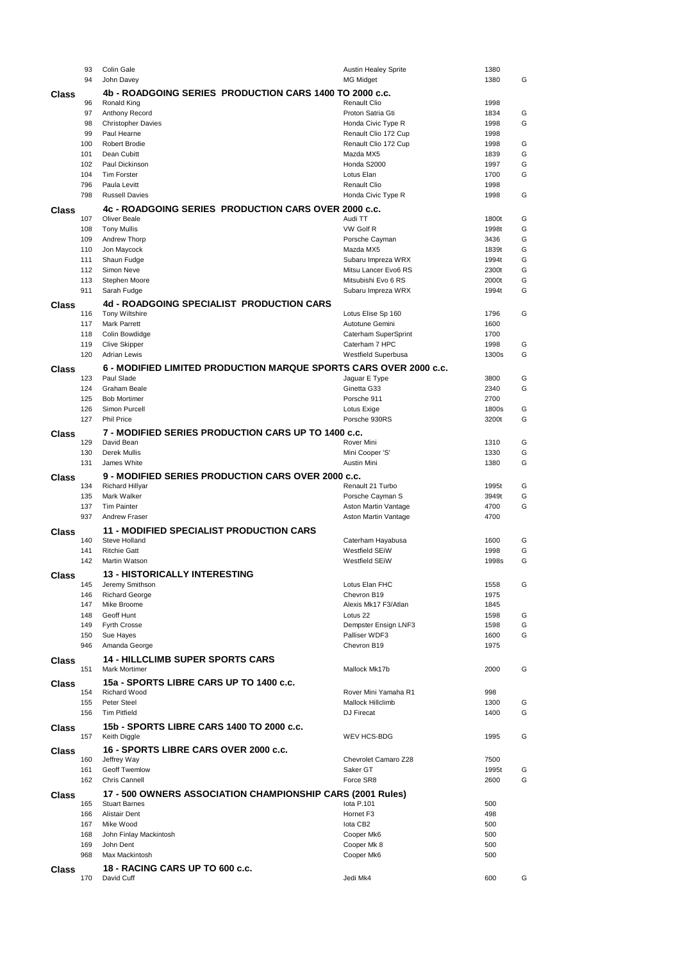|       | 93                                                      | Colin Gale                                                        | <b>Austin Healey Sprite</b> | 1380  |   |  |
|-------|---------------------------------------------------------|-------------------------------------------------------------------|-----------------------------|-------|---|--|
|       | 94                                                      | John Davey                                                        | <b>MG Midget</b>            | 1380  | G |  |
| Class | 4b - ROADGOING SERIES PRODUCTION CARS 1400 TO 2000 c.c. |                                                                   |                             |       |   |  |
|       | 96                                                      | Ronald King                                                       | <b>Renault Clio</b>         | 1998  |   |  |
|       | 97                                                      | Anthony Record                                                    | Proton Satria Gti           | 1834  | G |  |
|       | 98                                                      | <b>Christopher Davies</b>                                         | Honda Civic Type R          | 1998  | G |  |
|       | 99                                                      | Paul Hearne                                                       | Renault Clio 172 Cup        | 1998  |   |  |
|       | 100                                                     | Robert Brodie                                                     | Renault Clio 172 Cup        | 1998  | G |  |
|       | 101                                                     | Dean Cubitt                                                       | Mazda MX5                   | 1839  | G |  |
|       | 102                                                     | Paul Dickinson                                                    | Honda S2000                 | 1997  | G |  |
|       | 104                                                     | <b>Tim Forster</b>                                                | Lotus Elan                  | 1700  | G |  |
|       | 796                                                     | Paula Levitt                                                      | <b>Renault Clio</b>         | 1998  |   |  |
|       | 798                                                     | <b>Russell Davies</b>                                             | Honda Civic Type R          | 1998  | G |  |
| Class |                                                         | 4c - ROADGOING SERIES PRODUCTION CARS OVER 2000 c.c.              |                             |       |   |  |
|       | 107                                                     | <b>Oliver Beale</b>                                               | Audi TT                     | 1800t | G |  |
|       | 108                                                     | <b>Tony Mullis</b>                                                | VW Golf R                   | 1998t | G |  |
|       | 109                                                     | Andrew Thorp                                                      | Porsche Cayman              | 3436  | G |  |
|       | 110                                                     | Jon Maycock                                                       | Mazda MX5                   | 1839t | G |  |
|       | 111                                                     | Shaun Fudge                                                       | Subaru Impreza WRX          | 1994t | G |  |
|       | 112                                                     | Simon Neve                                                        | Mitsu Lancer Evo6 RS        | 2300t | G |  |
|       | 113                                                     | Stephen Moore                                                     | Mitsubishi Evo 6 RS         | 2000t | G |  |
|       | 911                                                     | Sarah Fudge                                                       | Subaru Impreza WRX          | 1994t | G |  |
| Class |                                                         | 4d - ROADGOING SPECIALIST PRODUCTION CARS                         |                             |       |   |  |
|       | 116                                                     | <b>Tony Wiltshire</b>                                             | Lotus Elise Sp 160          | 1796  | G |  |
|       | 117                                                     | <b>Mark Parrett</b>                                               | Autotune Gemini             | 1600  |   |  |
|       | 118                                                     | Colin Bowdidge                                                    | Caterham SuperSprint        | 1700  |   |  |
|       | 119                                                     | <b>Clive Skipper</b>                                              | Caterham 7 HPC              | 1998  | G |  |
|       | 120                                                     | <b>Adrian Lewis</b>                                               | Westfield Superbusa         | 1300s | G |  |
| Class |                                                         | 6 - MODIFIED LIMITED PRODUCTION MARQUE SPORTS CARS OVER 2000 c.c. |                             |       |   |  |
|       | 123                                                     | Paul Slade                                                        | Jaguar E Type               | 3800  | G |  |
|       | 124                                                     | Graham Beale                                                      | Ginetta G33                 | 2340  | G |  |
|       | 125                                                     | <b>Bob Mortimer</b>                                               | Porsche 911                 | 2700  |   |  |
|       | 126                                                     | Simon Purcell                                                     | Lotus Exige                 | 1800s | G |  |
|       | 127                                                     | <b>Phil Price</b>                                                 | Porsche 930RS               | 3200t | G |  |
| Class |                                                         | 7 - MODIFIED SERIES PRODUCTION CARS UP TO 1400 c.c.               |                             |       |   |  |
|       | 129                                                     | David Bean                                                        | Rover Mini                  | 1310  | G |  |
|       | 130                                                     | Derek Mullis                                                      | Mini Cooper 'S'             | 1330  | G |  |
|       | 131                                                     | James White                                                       | Austin Mini                 | 1380  | G |  |
| Class |                                                         | 9 - MODIFIED SERIES PRODUCTION CARS OVER 2000 c.c.                |                             |       |   |  |
|       |                                                         |                                                                   |                             |       |   |  |
|       | 134                                                     | <b>Richard Hillyar</b>                                            | Renault 21 Turbo            | 1995t | G |  |
|       | 135                                                     | Mark Walker                                                       | Porsche Cayman S            | 3949t | G |  |
|       | 137                                                     | <b>Tim Painter</b>                                                | Aston Martin Vantage        | 4700  | G |  |
|       | 937                                                     | <b>Andrew Fraser</b>                                              | Aston Martin Vantage        | 4700  |   |  |
| Class |                                                         | <b>11 - MODIFIED SPECIALIST PRODUCTION CARS</b>                   |                             |       |   |  |
|       | 140                                                     | Steve Holland                                                     | Caterham Hayabusa           | 1600  | G |  |
|       | 141                                                     | <b>Ritchie Gatt</b>                                               | Westfield SEiW              | 1998  | G |  |
|       | 142                                                     | Martin Watson                                                     | <b>Westfield SEiW</b>       | 1998s | G |  |
| Class |                                                         | 13 - HISTORICALLY INTERESTING                                     |                             |       |   |  |
|       | 145                                                     | Jeremy Smithson                                                   | Lotus Elan FHC              | 1558  | G |  |
|       | 146                                                     | <b>Richard George</b>                                             | Chevron B19                 | 1975  |   |  |
|       | 147                                                     | Mike Broome                                                       | Alexis Mk17 F3/Atlan        | 1845  |   |  |
|       | 148                                                     | Geoff Hunt                                                        | Lotus <sub>22</sub>         | 1598  | G |  |
|       | 149                                                     | <b>Fyrth Crosse</b>                                               | Dempster Ensign LNF3        | 1598  | G |  |
|       | 150                                                     | Sue Hayes                                                         | Palliser WDF3               | 1600  | G |  |
|       | 946                                                     | Amanda George                                                     | Chevron B19                 | 1975  |   |  |
| Class |                                                         | <b>14 - HILLCLIMB SUPER SPORTS CARS</b>                           |                             |       |   |  |
|       | 151                                                     | <b>Mark Mortimer</b>                                              | Mallock Mk17b               | 2000  | G |  |
| Class |                                                         | 15a - SPORTS LIBRE CARS UP TO 1400 c.c.                           |                             |       |   |  |
|       | 154                                                     | <b>Richard Wood</b>                                               | Rover Mini Yamaha R1        | 998   |   |  |
|       | 155                                                     | Peter Steel                                                       | Mallock Hillclimb           | 1300  | G |  |
|       | 156                                                     | <b>Tim Pitfield</b>                                               | DJ Firecat                  | 1400  | G |  |
| Class |                                                         | 15b - SPORTS LIBRE CARS 1400 TO 2000 c.c.                         |                             |       |   |  |
|       | 157                                                     | Keith Diggle                                                      | WEV HCS-BDG                 | 1995  | G |  |
| Class |                                                         | 16 - SPORTS LIBRE CARS OVER 2000 c.c.                             |                             |       |   |  |
|       | 160                                                     | Jeffrey Way                                                       | Chevrolet Camaro Z28        | 7500  |   |  |
|       | 161                                                     | Geoff Twemlow                                                     | Saker GT                    | 1995t | G |  |
|       | 162                                                     | Chris Cannell                                                     | Force SR8                   | 2600  | G |  |
| Class |                                                         | 17 - 500 OWNERS ASSOCIATION CHAMPIONSHIP CARS (2001 Rules)        |                             |       |   |  |
|       | 165                                                     | <b>Stuart Barnes</b>                                              | lota P.101                  | 500   |   |  |
|       | 166                                                     | <b>Alistair Dent</b>                                              | Hornet F3                   | 498   |   |  |
|       | 167                                                     | Mike Wood                                                         | lota CB2                    | 500   |   |  |
|       | 168                                                     | John Finlay Mackintosh                                            | Cooper Mk6                  | 500   |   |  |
|       | 169                                                     | John Dent                                                         | Cooper Mk 8                 | 500   |   |  |
|       | 968                                                     | Max Mackintosh                                                    | Cooper Mk6                  | 500   |   |  |
| Class | 170                                                     | <b>18 - RACING CARS UP TO 600 c.c.</b><br>David Cuff              | Jedi Mk4                    | 600   | G |  |